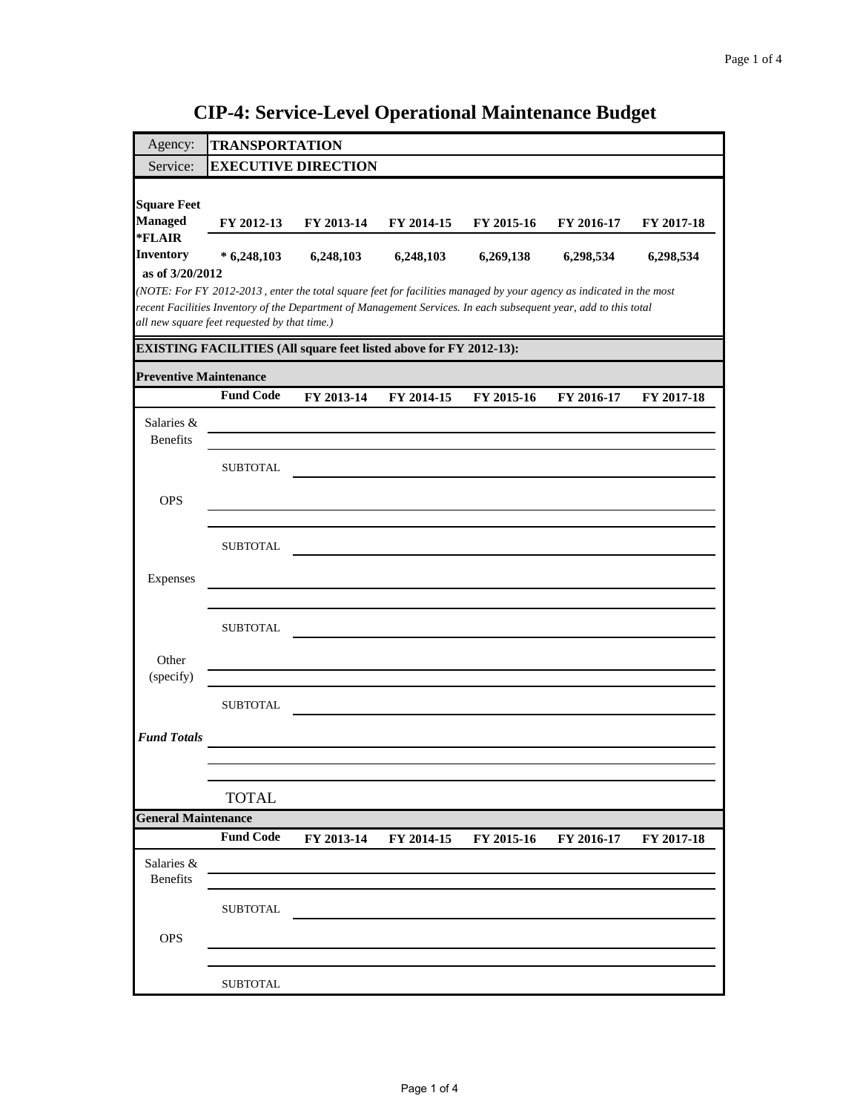| Agency:                              | <b>TRANSPORTATION</b>                                                                                                                                                                                                                   |            |            |                       |            |            |  |
|--------------------------------------|-----------------------------------------------------------------------------------------------------------------------------------------------------------------------------------------------------------------------------------------|------------|------------|-----------------------|------------|------------|--|
| Service:                             | <b>EXECUTIVE DIRECTION</b>                                                                                                                                                                                                              |            |            |                       |            |            |  |
|                                      |                                                                                                                                                                                                                                         |            |            |                       |            |            |  |
| <b>Square Feet</b><br><b>Managed</b> |                                                                                                                                                                                                                                         |            |            |                       |            |            |  |
| *FLAIR                               | FY 2012-13                                                                                                                                                                                                                              | FY 2013-14 | FY 2014-15 | FY 2015-16            | FY 2016-17 | FY 2017-18 |  |
| <b>Inventory</b>                     | $*6,248,103$                                                                                                                                                                                                                            | 6,248,103  | 6,248,103  | 6,269,138             | 6,298,534  | 6,298,534  |  |
| as of 3/20/2012                      |                                                                                                                                                                                                                                         |            |            |                       |            |            |  |
|                                      | (NOTE: For FY 2012-2013, enter the total square feet for facilities managed by your agency as indicated in the most<br>recent Facilities Inventory of the Department of Management Services. In each subsequent year, add to this total |            |            |                       |            |            |  |
|                                      | all new square feet requested by that time.)                                                                                                                                                                                            |            |            |                       |            |            |  |
|                                      | <b>EXISTING FACILITIES (All square feet listed above for FY 2012-13):</b>                                                                                                                                                               |            |            |                       |            |            |  |
| <b>Preventive Maintenance</b>        |                                                                                                                                                                                                                                         |            |            |                       |            |            |  |
|                                      | <b>Fund Code</b>                                                                                                                                                                                                                        | FY 2013-14 | FY 2014-15 | FY 2015-16            | FY 2016-17 | FY 2017-18 |  |
| Salaries &                           |                                                                                                                                                                                                                                         |            |            |                       |            |            |  |
| <b>Benefits</b>                      |                                                                                                                                                                                                                                         |            |            |                       |            |            |  |
|                                      |                                                                                                                                                                                                                                         |            |            |                       |            |            |  |
|                                      | <b>SUBTOTAL</b>                                                                                                                                                                                                                         |            |            |                       |            |            |  |
| <b>OPS</b>                           |                                                                                                                                                                                                                                         |            |            |                       |            |            |  |
|                                      |                                                                                                                                                                                                                                         |            |            |                       |            |            |  |
|                                      | <b>SUBTOTAL</b>                                                                                                                                                                                                                         |            |            |                       |            |            |  |
|                                      |                                                                                                                                                                                                                                         |            |            |                       |            |            |  |
| Expenses                             |                                                                                                                                                                                                                                         |            |            |                       |            |            |  |
|                                      |                                                                                                                                                                                                                                         |            |            |                       |            |            |  |
|                                      | <b>SUBTOTAL</b>                                                                                                                                                                                                                         |            |            |                       |            |            |  |
| Other                                |                                                                                                                                                                                                                                         |            |            |                       |            |            |  |
| (specify)                            |                                                                                                                                                                                                                                         |            |            |                       |            |            |  |
|                                      |                                                                                                                                                                                                                                         |            |            |                       |            |            |  |
|                                      | <b>SUBTOTAL</b>                                                                                                                                                                                                                         |            |            |                       |            |            |  |
| <b>Fund Totals</b>                   |                                                                                                                                                                                                                                         |            |            |                       |            |            |  |
|                                      |                                                                                                                                                                                                                                         |            |            |                       |            |            |  |
|                                      |                                                                                                                                                                                                                                         |            |            |                       |            |            |  |
|                                      | <b>TOTAL</b>                                                                                                                                                                                                                            |            |            |                       |            |            |  |
| <b>General Maintenance</b>           |                                                                                                                                                                                                                                         |            |            |                       |            |            |  |
|                                      | <b>Fund Code</b>                                                                                                                                                                                                                        | FY 2013-14 |            | FY 2014-15 FY 2015-16 | FY 2016-17 | FY 2017-18 |  |
| Salaries &                           |                                                                                                                                                                                                                                         |            |            |                       |            |            |  |
| <b>Benefits</b>                      |                                                                                                                                                                                                                                         |            |            |                       |            |            |  |
|                                      | <b>SUBTOTAL</b>                                                                                                                                                                                                                         |            |            |                       |            |            |  |
| OPS                                  |                                                                                                                                                                                                                                         |            |            |                       |            |            |  |
|                                      |                                                                                                                                                                                                                                         |            |            |                       |            |            |  |
|                                      |                                                                                                                                                                                                                                         |            |            |                       |            |            |  |
|                                      | <b>SUBTOTAL</b>                                                                                                                                                                                                                         |            |            |                       |            |            |  |

**CIP-4: Service-Level Operational Maintenance Budget**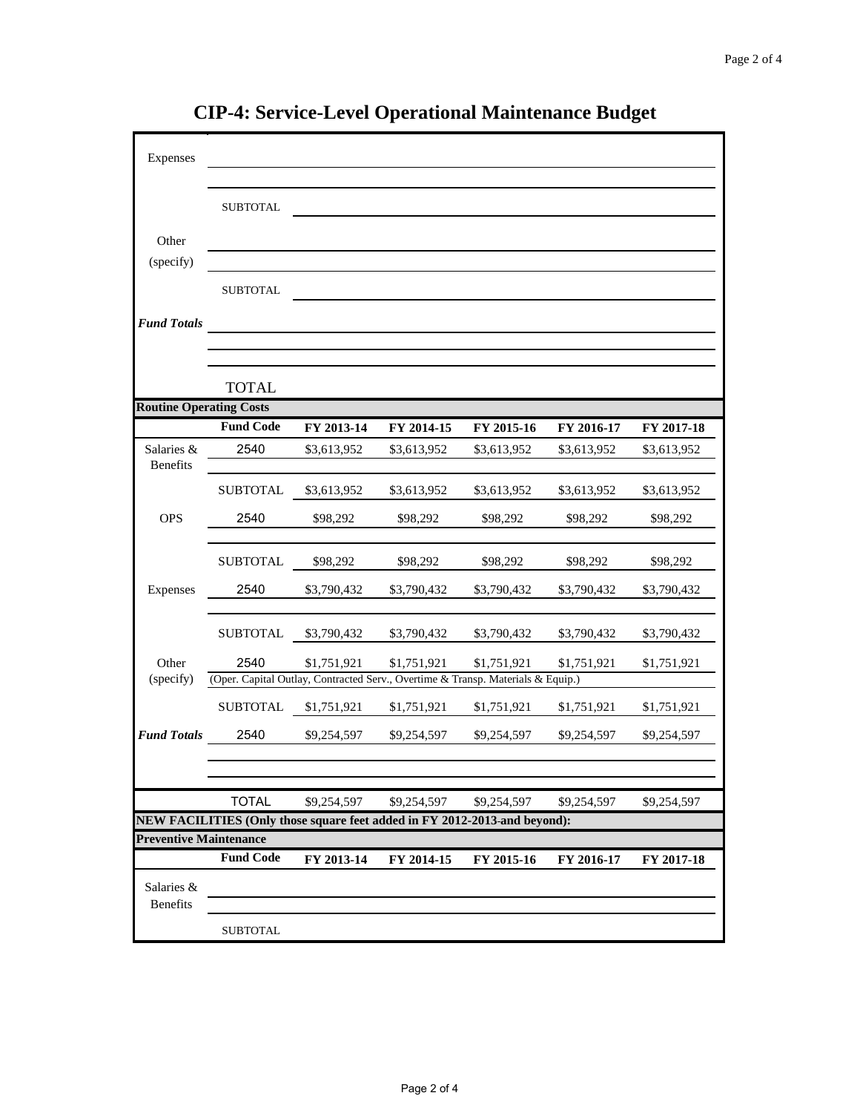| Expenses                                                                                     |                                                                           |             |             |             |             |             |
|----------------------------------------------------------------------------------------------|---------------------------------------------------------------------------|-------------|-------------|-------------|-------------|-------------|
|                                                                                              |                                                                           |             |             |             |             |             |
|                                                                                              | <b>SUBTOTAL</b>                                                           |             |             |             |             |             |
|                                                                                              |                                                                           |             |             |             |             |             |
| Other                                                                                        |                                                                           |             |             |             |             |             |
| (specify)                                                                                    |                                                                           |             |             |             |             |             |
|                                                                                              | <b>SUBTOTAL</b>                                                           |             |             |             |             |             |
| <b>Fund Totals</b>                                                                           |                                                                           |             |             |             |             |             |
|                                                                                              |                                                                           |             |             |             |             |             |
|                                                                                              | <b>TOTAL</b>                                                              |             |             |             |             |             |
| <b>Routine Operating Costs</b>                                                               |                                                                           |             |             |             |             |             |
|                                                                                              | <b>Fund Code</b>                                                          | FY 2013-14  | FY 2014-15  | FY 2015-16  | FY 2016-17  | FY 2017-18  |
| Salaries &                                                                                   | 2540                                                                      | \$3,613,952 | \$3,613,952 | \$3,613,952 | \$3,613,952 | \$3,613,952 |
| Benefits                                                                                     |                                                                           |             |             |             |             |             |
|                                                                                              | <b>SUBTOTAL</b>                                                           | \$3,613,952 | \$3,613,952 | \$3,613,952 | \$3,613,952 | \$3,613,952 |
| <b>OPS</b>                                                                                   | 2540                                                                      | \$98,292    | \$98,292    | \$98.292    | \$98,292    | \$98,292    |
|                                                                                              |                                                                           |             |             |             |             |             |
|                                                                                              | <b>SUBTOTAL</b>                                                           | \$98,292    | \$98,292    | \$98,292    | \$98,292    | \$98,292    |
| Expenses                                                                                     | 2540                                                                      | \$3,790,432 | \$3,790,432 | \$3,790,432 | \$3,790,432 | \$3,790,432 |
|                                                                                              | <b>SUBTOTAL</b>                                                           | \$3,790,432 | \$3,790,432 | \$3,790,432 | \$3,790,432 | \$3,790,432 |
| Other                                                                                        | 2540                                                                      | \$1,751,921 | \$1,751,921 | \$1,751,921 | \$1,751,921 | \$1,751,921 |
| (specify)<br>(Oper. Capital Outlay, Contracted Serv., Overtime & Transp. Materials & Equip.) |                                                                           |             |             |             |             |             |
|                                                                                              | <b>SUBTOTAL</b>                                                           | \$1,751,921 | \$1,751,921 | \$1,751,921 | \$1,751,921 | \$1,751,921 |
| <b>Fund Totals</b>                                                                           | 2540                                                                      | \$9,254,597 | \$9,254,597 | \$9,254,597 | \$9,254,597 | \$9,254,597 |
|                                                                                              |                                                                           |             |             |             |             |             |
|                                                                                              | <b>TOTAL</b>                                                              | \$9,254,597 | \$9,254,597 | \$9,254,597 | \$9,254,597 | \$9,254,597 |
|                                                                                              | NEW FACILITIES (Only those square feet added in FY 2012-2013 and beyond): |             |             |             |             |             |
| <b>Preventive Maintenance</b>                                                                |                                                                           |             |             |             |             |             |
|                                                                                              | <b>Fund Code</b>                                                          | FY 2013-14  | FY 2014-15  | FY 2015-16  | FY 2016-17  | FY 2017-18  |
| Salaries &<br><b>Benefits</b>                                                                |                                                                           |             |             |             |             |             |
|                                                                                              | <b>SUBTOTAL</b>                                                           |             |             |             |             |             |
|                                                                                              |                                                                           |             |             |             |             |             |

**CIP-4: Service-Level Operational Maintenance Budget**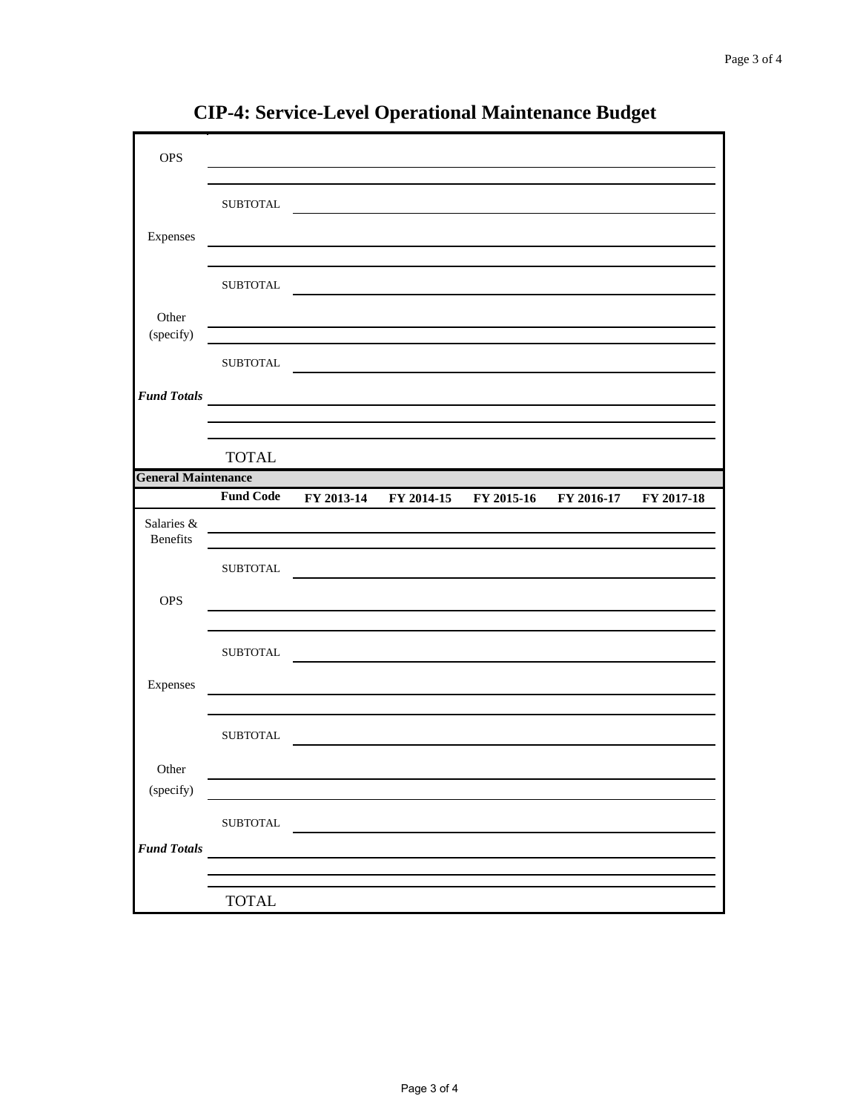| <b>OPS</b>                 |                  |            |            |            |            |            |
|----------------------------|------------------|------------|------------|------------|------------|------------|
|                            |                  |            |            |            |            |            |
|                            |                  |            |            |            |            |            |
|                            | <b>SUBTOTAL</b>  |            |            |            |            |            |
| Expenses                   |                  |            |            |            |            |            |
|                            |                  |            |            |            |            |            |
|                            | <b>SUBTOTAL</b>  |            |            |            |            |            |
|                            |                  |            |            |            |            |            |
| Other<br>(specify)         |                  |            |            |            |            |            |
|                            |                  |            |            |            |            |            |
|                            | <b>SUBTOTAL</b>  |            |            |            |            |            |
| <b>Fund Totals</b>         |                  |            |            |            |            |            |
|                            |                  |            |            |            |            |            |
|                            |                  |            |            |            |            |            |
|                            | <b>TOTAL</b>     |            |            |            |            |            |
| <b>General Maintenance</b> |                  |            |            |            |            |            |
|                            | <b>Fund Code</b> | FY 2013-14 | FY 2014-15 | FY 2015-16 | FY 2016-17 | FY 2017-18 |
| Salaries &<br>Benefits     |                  |            |            |            |            |            |
|                            |                  |            |            |            |            |            |
|                            | <b>SUBTOTAL</b>  |            |            |            |            |            |
| <b>OPS</b>                 |                  |            |            |            |            |            |
|                            |                  |            |            |            |            |            |
|                            | <b>SUBTOTAL</b>  |            |            |            |            |            |
|                            |                  |            |            |            |            |            |
| Expenses                   |                  |            |            |            |            |            |
|                            |                  |            |            |            |            |            |
|                            | <b>SUBTOTAL</b>  |            |            |            |            |            |
|                            |                  |            |            |            |            |            |
| Other                      |                  |            |            |            |            |            |
| (specify)                  |                  |            |            |            |            |            |
|                            | ${\tt SUBTOTAL}$ |            |            |            |            |            |
| <b>Fund Totals</b>         |                  |            |            |            |            |            |
|                            |                  |            |            |            |            |            |
|                            |                  |            |            |            |            |            |
|                            | <b>TOTAL</b>     |            |            |            |            |            |

**CIP-4: Service-Level Operational Maintenance Budget**